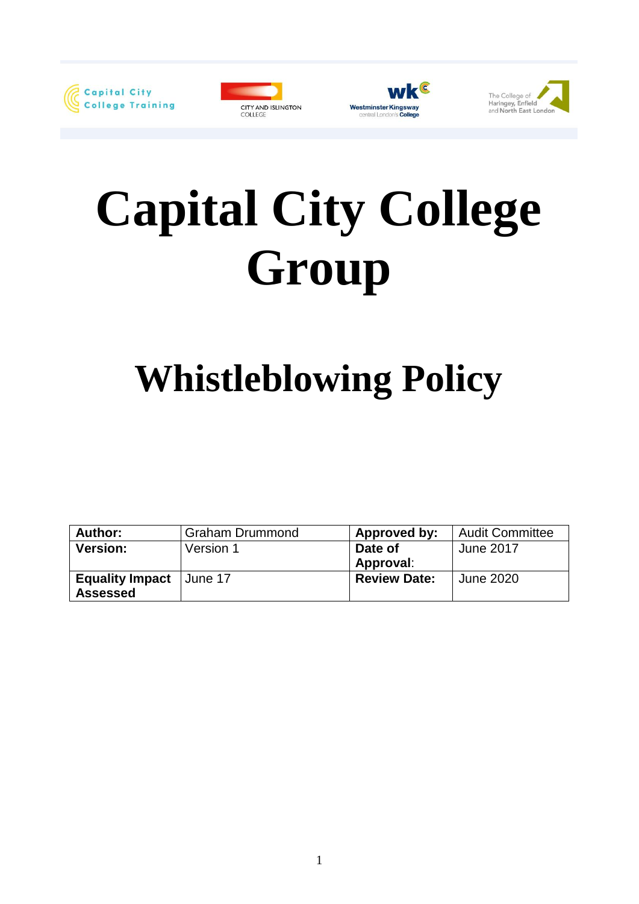







# **Capital City College Group**

# **Whistleblowing Policy**

| Author:                | <b>Graham Drummond</b> | Approved by:        | <b>Audit Committee</b> |
|------------------------|------------------------|---------------------|------------------------|
| <b>Version:</b>        | Version 1              | Date of             | June 2017              |
|                        |                        | Approval:           |                        |
| <b>Equality Impact</b> | ⊺June 17               | <b>Review Date:</b> | June 2020              |
| <b>Assessed</b>        |                        |                     |                        |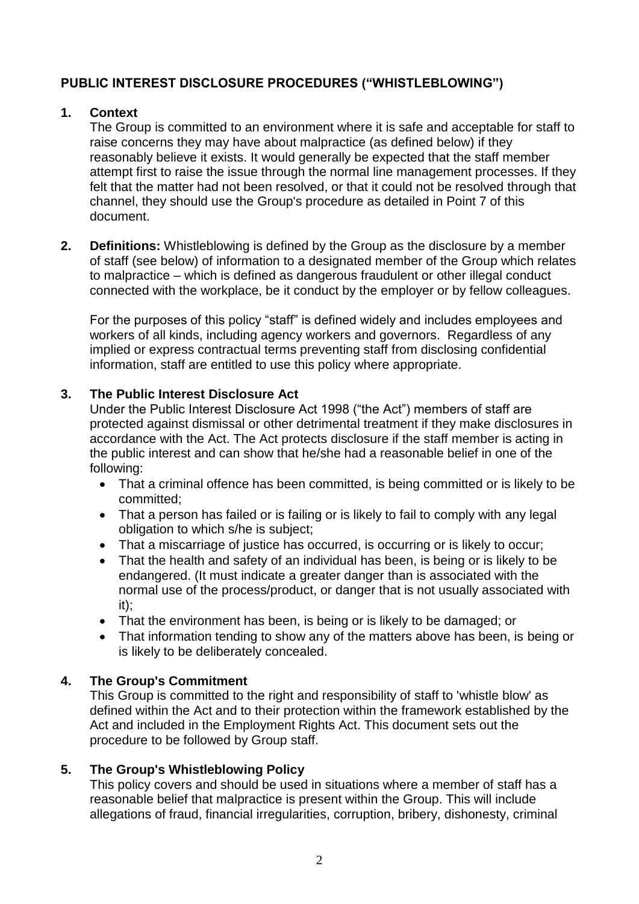# **PUBLIC INTEREST DISCLOSURE PROCEDURES ("WHISTLEBLOWING")**

## **1. Context**

The Group is committed to an environment where it is safe and acceptable for staff to raise concerns they may have about malpractice (as defined below) if they reasonably believe it exists. It would generally be expected that the staff member attempt first to raise the issue through the normal line management processes. If they felt that the matter had not been resolved, or that it could not be resolved through that channel, they should use the Group's procedure as detailed in Point 7 of this document.

**2. Definitions:** Whistleblowing is defined by the Group as the disclosure by a member of staff (see below) of information to a designated member of the Group which relates to malpractice – which is defined as dangerous fraudulent or other illegal conduct connected with the workplace, be it conduct by the employer or by fellow colleagues.

For the purposes of this policy "staff" is defined widely and includes employees and workers of all kinds, including agency workers and governors. Regardless of any implied or express contractual terms preventing staff from disclosing confidential information, staff are entitled to use this policy where appropriate.

#### **3. The Public Interest Disclosure Act**

Under the Public Interest Disclosure Act 1998 ("the Act") members of staff are protected against dismissal or other detrimental treatment if they make disclosures in accordance with the Act. The Act protects disclosure if the staff member is acting in the public interest and can show that he/she had a reasonable belief in one of the following:

- That a criminal offence has been committed, is being committed or is likely to be committed;
- That a person has failed or is failing or is likely to fail to comply with any legal obligation to which s/he is subject;
- That a miscarriage of justice has occurred, is occurring or is likely to occur;
- That the health and safety of an individual has been, is being or is likely to be endangered. (It must indicate a greater danger than is associated with the normal use of the process/product, or danger that is not usually associated with it);
- That the environment has been, is being or is likely to be damaged; or
- That information tending to show any of the matters above has been, is being or is likely to be deliberately concealed.

## **4. The Group's Commitment**

This Group is committed to the right and responsibility of staff to 'whistle blow' as defined within the Act and to their protection within the framework established by the Act and included in the Employment Rights Act. This document sets out the procedure to be followed by Group staff.

## **5. The Group's Whistleblowing Policy**

This policy covers and should be used in situations where a member of staff has a reasonable belief that malpractice is present within the Group. This will include allegations of fraud, financial irregularities, corruption, bribery, dishonesty, criminal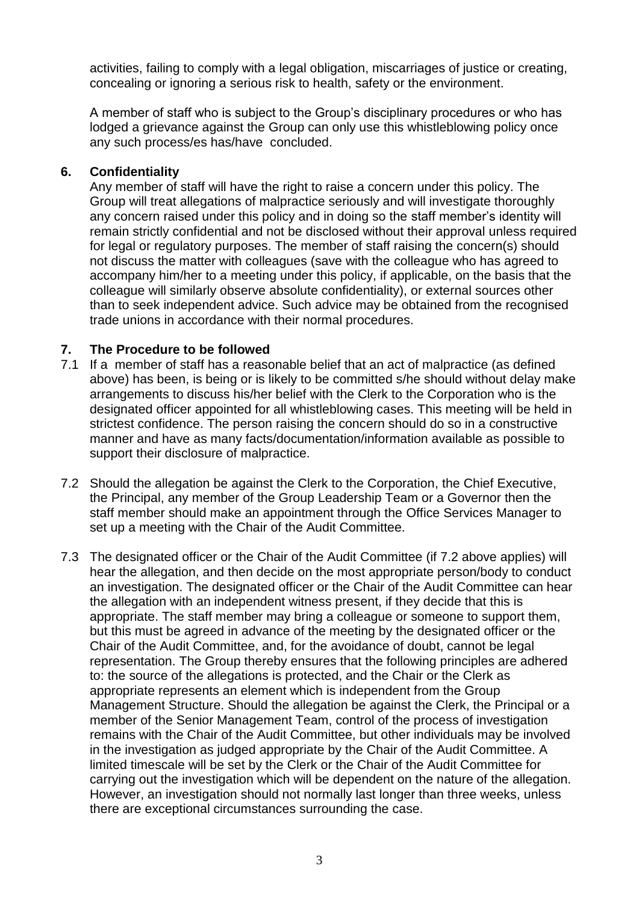activities, failing to comply with a legal obligation, miscarriages of justice or creating, concealing or ignoring a serious risk to health, safety or the environment.

A member of staff who is subject to the Group's disciplinary procedures or who has lodged a grievance against the Group can only use this whistleblowing policy once any such process/es has/have concluded.

#### **6. Confidentiality**

Any member of staff will have the right to raise a concern under this policy. The Group will treat allegations of malpractice seriously and will investigate thoroughly any concern raised under this policy and in doing so the staff member's identity will remain strictly confidential and not be disclosed without their approval unless required for legal or regulatory purposes. The member of staff raising the concern(s) should not discuss the matter with colleagues (save with the colleague who has agreed to accompany him/her to a meeting under this policy, if applicable, on the basis that the colleague will similarly observe absolute confidentiality), or external sources other than to seek independent advice. Such advice may be obtained from the recognised trade unions in accordance with their normal procedures.

#### **7. The Procedure to be followed**

- 7.1 If a member of staff has a reasonable belief that an act of malpractice (as defined above) has been, is being or is likely to be committed s/he should without delay make arrangements to discuss his/her belief with the Clerk to the Corporation who is the designated officer appointed for all whistleblowing cases. This meeting will be held in strictest confidence. The person raising the concern should do so in a constructive manner and have as many facts/documentation/information available as possible to support their disclosure of malpractice.
- 7.2 Should the allegation be against the Clerk to the Corporation, the Chief Executive, the Principal, any member of the Group Leadership Team or a Governor then the staff member should make an appointment through the Office Services Manager to set up a meeting with the Chair of the Audit Committee.
- 7.3 The designated officer or the Chair of the Audit Committee (if 7.2 above applies) will hear the allegation, and then decide on the most appropriate person/body to conduct an investigation. The designated officer or the Chair of the Audit Committee can hear the allegation with an independent witness present, if they decide that this is appropriate. The staff member may bring a colleague or someone to support them, but this must be agreed in advance of the meeting by the designated officer or the Chair of the Audit Committee, and, for the avoidance of doubt, cannot be legal representation. The Group thereby ensures that the following principles are adhered to: the source of the allegations is protected, and the Chair or the Clerk as appropriate represents an element which is independent from the Group Management Structure. Should the allegation be against the Clerk, the Principal or a member of the Senior Management Team, control of the process of investigation remains with the Chair of the Audit Committee, but other individuals may be involved in the investigation as judged appropriate by the Chair of the Audit Committee. A limited timescale will be set by the Clerk or the Chair of the Audit Committee for carrying out the investigation which will be dependent on the nature of the allegation. However, an investigation should not normally last longer than three weeks, unless there are exceptional circumstances surrounding the case.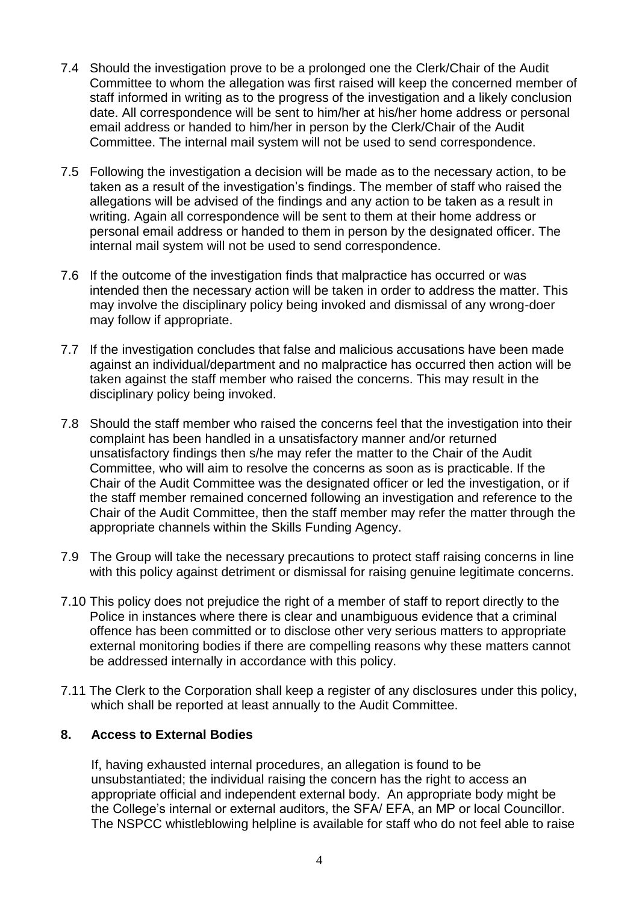- 7.4 Should the investigation prove to be a prolonged one the Clerk/Chair of the Audit Committee to whom the allegation was first raised will keep the concerned member of staff informed in writing as to the progress of the investigation and a likely conclusion date. All correspondence will be sent to him/her at his/her home address or personal email address or handed to him/her in person by the Clerk/Chair of the Audit Committee. The internal mail system will not be used to send correspondence.
- 7.5 Following the investigation a decision will be made as to the necessary action, to be taken as a result of the investigation's findings. The member of staff who raised the allegations will be advised of the findings and any action to be taken as a result in writing. Again all correspondence will be sent to them at their home address or personal email address or handed to them in person by the designated officer. The internal mail system will not be used to send correspondence.
- 7.6 If the outcome of the investigation finds that malpractice has occurred or was intended then the necessary action will be taken in order to address the matter. This may involve the disciplinary policy being invoked and dismissal of any wrong-doer may follow if appropriate.
- 7.7 If the investigation concludes that false and malicious accusations have been made against an individual/department and no malpractice has occurred then action will be taken against the staff member who raised the concerns. This may result in the disciplinary policy being invoked.
- 7.8 Should the staff member who raised the concerns feel that the investigation into their complaint has been handled in a unsatisfactory manner and/or returned unsatisfactory findings then s/he may refer the matter to the Chair of the Audit Committee, who will aim to resolve the concerns as soon as is practicable. If the Chair of the Audit Committee was the designated officer or led the investigation, or if the staff member remained concerned following an investigation and reference to the Chair of the Audit Committee, then the staff member may refer the matter through the appropriate channels within the Skills Funding Agency.
- 7.9 The Group will take the necessary precautions to protect staff raising concerns in line with this policy against detriment or dismissal for raising genuine legitimate concerns.
- 7.10 This policy does not prejudice the right of a member of staff to report directly to the Police in instances where there is clear and unambiguous evidence that a criminal offence has been committed or to disclose other very serious matters to appropriate external monitoring bodies if there are compelling reasons why these matters cannot be addressed internally in accordance with this policy.
- 7.11 The Clerk to the Corporation shall keep a register of any disclosures under this policy, which shall be reported at least annually to the Audit Committee.

## **8. Access to External Bodies**

If, having exhausted internal procedures, an allegation is found to be unsubstantiated; the individual raising the concern has the right to access an appropriate official and independent external body. An appropriate body might be the College's internal or external auditors, the SFA/ EFA, an MP or local Councillor. The NSPCC whistleblowing helpline is available for staff who do not feel able to raise